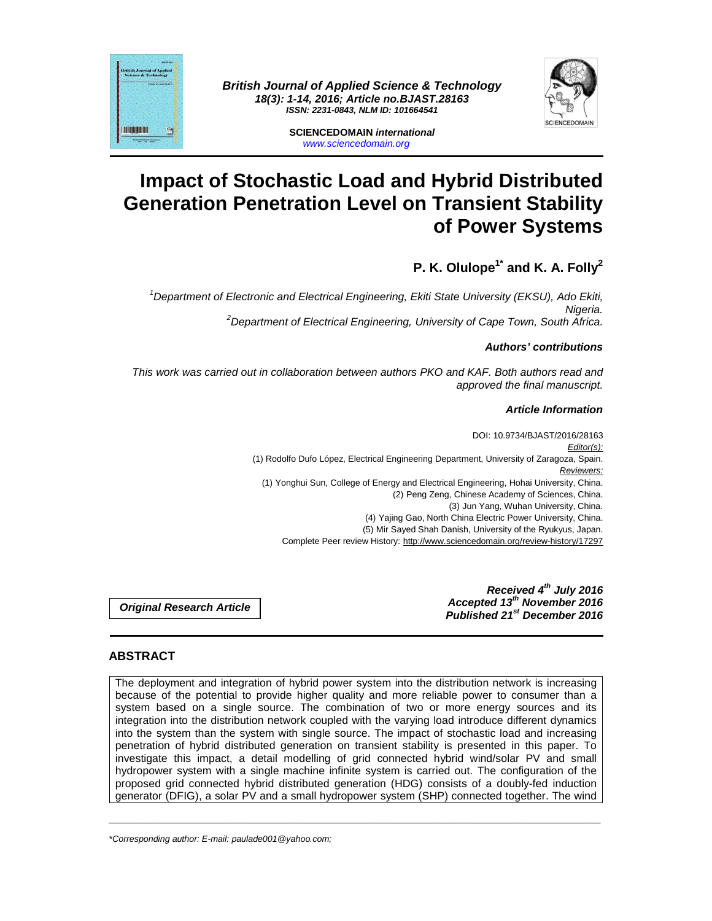



**SCIENCEDOMAIN international**  www.sciencedomain.org

# **Impact of Stochastic Load and Hybrid Distributed Generation Penetration Level on Transient Stability of Power Systems**

# **P. K. Olulope1\* and K. A. Folly<sup>2</sup>**

<sup>1</sup>Department of Electronic and Electrical Engineering, Ekiti State University (EKSU), Ado Ekiti, Nigeria.  $2$ Department of Electrical Engineering, University of Cape Town, South Africa.

# **Authors' contributions**

This work was carried out in collaboration between authors PKO and KAF. Both authors read and approved the final manuscript.

# **Article Information**

DOI: 10.9734/BJAST/2016/28163 Editor(s): (1) Rodolfo Dufo López, Electrical Engineering Department, University of Zaragoza, Spain. Reviewers: (1) Yonghui Sun, College of Energy and Electrical Engineering, Hohai University, China. (2) Peng Zeng, Chinese Academy of Sciences, China. (3) Jun Yang, Wuhan University, China. (4) Yajing Gao, North China Electric Power University, China. (5) Mir Sayed Shah Danish, University of the Ryukyus, Japan. Complete Peer review History: http://www.sciencedomain.org/review-history/17297

**Original Research Article** 

**Received 4th July 2016 Accepted 13th November 2016 Published 21st December 2016**

# **ABSTRACT**

The deployment and integration of hybrid power system into the distribution network is increasing because of the potential to provide higher quality and more reliable power to consumer than a system based on a single source. The combination of two or more energy sources and its integration into the distribution network coupled with the varying load introduce different dynamics into the system than the system with single source. The impact of stochastic load and increasing penetration of hybrid distributed generation on transient stability is presented in this paper. To investigate this impact, a detail modelling of grid connected hybrid wind/solar PV and small hydropower system with a single machine infinite system is carried out. The configuration of the proposed grid connected hybrid distributed generation (HDG) consists of a doubly-fed induction generator (DFIG), a solar PV and a small hydropower system (SHP) connected together. The wind

\_\_\_\_\_\_\_\_\_\_\_\_\_\_\_\_\_\_\_\_\_\_\_\_\_\_\_\_\_\_\_\_\_\_\_\_\_\_\_\_\_\_\_\_\_\_\_\_\_\_\_\_\_\_\_\_\_\_\_\_\_\_\_\_\_\_\_\_\_\_\_\_\_\_\_\_\_\_\_\_\_\_\_\_\_\_\_\_\_\_\_\_\_\_\_\_\_\_\_\_\_

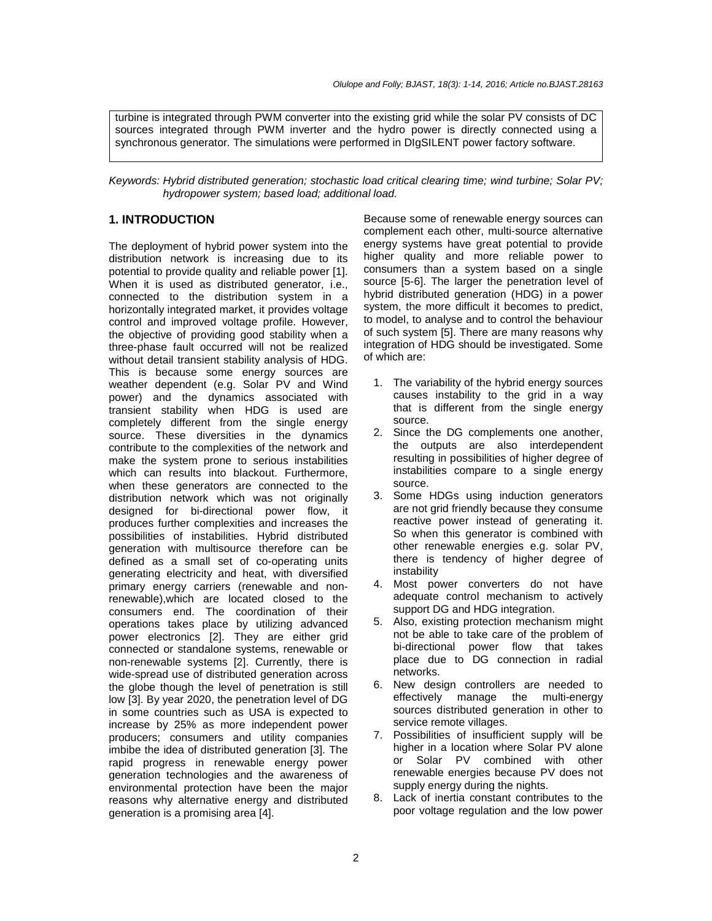turbine is integrated through PWM converter into the existing grid while the solar PV consists of DC sources integrated through PWM inverter and the hydro power is directly connected using a synchronous generator. The simulations were performed in DIgSILENT power factory software.

Keywords: Hybrid distributed generation; stochastic load critical clearing time; wind turbine; Solar PV; hydropower system; based load; additional load.

# **1. INTRODUCTION**

The deployment of hybrid power system into the distribution network is increasing due to its potential to provide quality and reliable power [1]. When it is used as distributed generator, i.e., connected to the distribution system in a horizontally integrated market, it provides voltage control and improved voltage profile. However, the objective of providing good stability when a three-phase fault occurred will not be realized without detail transient stability analysis of HDG. This is because some energy sources are weather dependent (e.g. Solar PV and Wind power) and the dynamics associated with transient stability when HDG is used are completely different from the single energy source. These diversities in the dynamics contribute to the complexities of the network and make the system prone to serious instabilities which can results into blackout. Furthermore, when these generators are connected to the distribution network which was not originally designed for bi-directional power flow, it produces further complexities and increases the possibilities of instabilities. Hybrid distributed generation with multisource therefore can be defined as a small set of co-operating units generating electricity and heat, with diversified primary energy carriers (renewable and nonrenewable),which are located closed to the consumers end. The coordination of their operations takes place by utilizing advanced power electronics [2]. They are either grid connected or standalone systems, renewable or non-renewable systems [2]. Currently, there is wide-spread use of distributed generation across the globe though the level of penetration is still low [3]. By year 2020, the penetration level of DG in some countries such as USA is expected to increase by 25% as more independent power producers; consumers and utility companies imbibe the idea of distributed generation [3]. The rapid progress in renewable energy power generation technologies and the awareness of environmental protection have been the major reasons why alternative energy and distributed generation is a promising area [4].

Because some of renewable energy sources can complement each other, multi-source alternative energy systems have great potential to provide higher quality and more reliable power to consumers than a system based on a single source [5-6]. The larger the penetration level of hybrid distributed generation (HDG) in a power system, the more difficult it becomes to predict, to model, to analyse and to control the behaviour of such system [5]. There are many reasons why integration of HDG should be investigated. Some of which are:

- 1. The variability of the hybrid energy sources causes instability to the grid in a way that is different from the single energy source.
- 2. Since the DG complements one another, the outputs are also interdependent resulting in possibilities of higher degree of instabilities compare to a single energy source.
- 3. Some HDGs using induction generators are not grid friendly because they consume reactive power instead of generating it. So when this generator is combined with other renewable energies e.g. solar PV, there is tendency of higher degree of instability
- 4. Most power converters do not have adequate control mechanism to actively support DG and HDG integration.
- 5. Also, existing protection mechanism might not be able to take care of the problem of bi-directional power flow that takes place due to DG connection in radial networks.
- 6. New design controllers are needed to effectively manage the multi-energy sources distributed generation in other to service remote villages.
- 7. Possibilities of insufficient supply will be higher in a location where Solar PV alone or Solar PV combined with other renewable energies because PV does not supply energy during the nights.
- 8. Lack of inertia constant contributes to the poor voltage regulation and the low power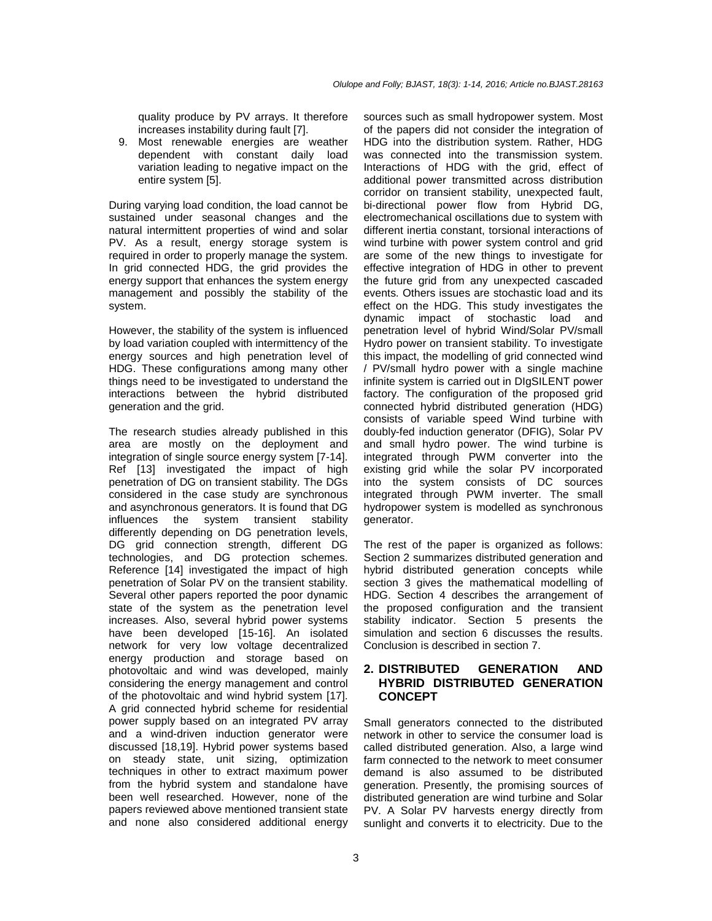quality produce by PV arrays. It therefore increases instability during fault [7].

9. Most renewable energies are weather dependent with constant daily load variation leading to negative impact on the entire system [5].

During varying load condition, the load cannot be sustained under seasonal changes and the natural intermittent properties of wind and solar PV. As a result, energy storage system is required in order to properly manage the system. In grid connected HDG, the grid provides the energy support that enhances the system energy management and possibly the stability of the system.

However, the stability of the system is influenced by load variation coupled with intermittency of the energy sources and high penetration level of HDG. These configurations among many other things need to be investigated to understand the interactions between the hybrid distributed generation and the grid.

The research studies already published in this area are mostly on the deployment and integration of single source energy system [7-14]. Ref [13] investigated the impact of high penetration of DG on transient stability. The DGs considered in the case study are synchronous and asynchronous generators. It is found that DG influences the system transient stability differently depending on DG penetration levels, DG grid connection strength, different DG technologies, and DG protection schemes. Reference [14] investigated the impact of high penetration of Solar PV on the transient stability. Several other papers reported the poor dynamic state of the system as the penetration level increases. Also, several hybrid power systems have been developed [15-16]. An isolated network for very low voltage decentralized energy production and storage based on photovoltaic and wind was developed, mainly considering the energy management and control of the photovoltaic and wind hybrid system [17]. A grid connected hybrid scheme for residential power supply based on an integrated PV array and a wind-driven induction generator were discussed [18,19]. Hybrid power systems based on steady state, unit sizing, optimization techniques in other to extract maximum power from the hybrid system and standalone have been well researched. However, none of the papers reviewed above mentioned transient state and none also considered additional energy

sources such as small hydropower system. Most of the papers did not consider the integration of HDG into the distribution system. Rather, HDG was connected into the transmission system. Interactions of HDG with the grid, effect of additional power transmitted across distribution corridor on transient stability, unexpected fault, bi-directional power flow from Hybrid DG, electromechanical oscillations due to system with different inertia constant, torsional interactions of wind turbine with power system control and grid are some of the new things to investigate for effective integration of HDG in other to prevent the future grid from any unexpected cascaded events. Others issues are stochastic load and its effect on the HDG. This study investigates the dynamic impact of stochastic load and penetration level of hybrid Wind/Solar PV/small Hydro power on transient stability. To investigate this impact, the modelling of grid connected wind / PV/small hydro power with a single machine infinite system is carried out in DIgSILENT power factory. The configuration of the proposed grid connected hybrid distributed generation (HDG) consists of variable speed Wind turbine with doubly-fed induction generator (DFIG), Solar PV and small hydro power. The wind turbine is integrated through PWM converter into the existing grid while the solar PV incorporated into the system consists of DC sources integrated through PWM inverter. The small hydropower system is modelled as synchronous generator.

The rest of the paper is organized as follows: Section 2 summarizes distributed generation and hybrid distributed generation concepts while section 3 gives the mathematical modelling of HDG. Section 4 describes the arrangement of the proposed configuration and the transient stability indicator. Section 5 presents the simulation and section 6 discusses the results. Conclusion is described in section 7.

# **2. DISTRIBUTED GENERATION AND HYBRID DISTRIBUTED GENERATION CONCEPT**

Small generators connected to the distributed network in other to service the consumer load is called distributed generation. Also, a large wind farm connected to the network to meet consumer demand is also assumed to be distributed generation. Presently, the promising sources of distributed generation are wind turbine and Solar PV. A Solar PV harvests energy directly from sunlight and converts it to electricity. Due to the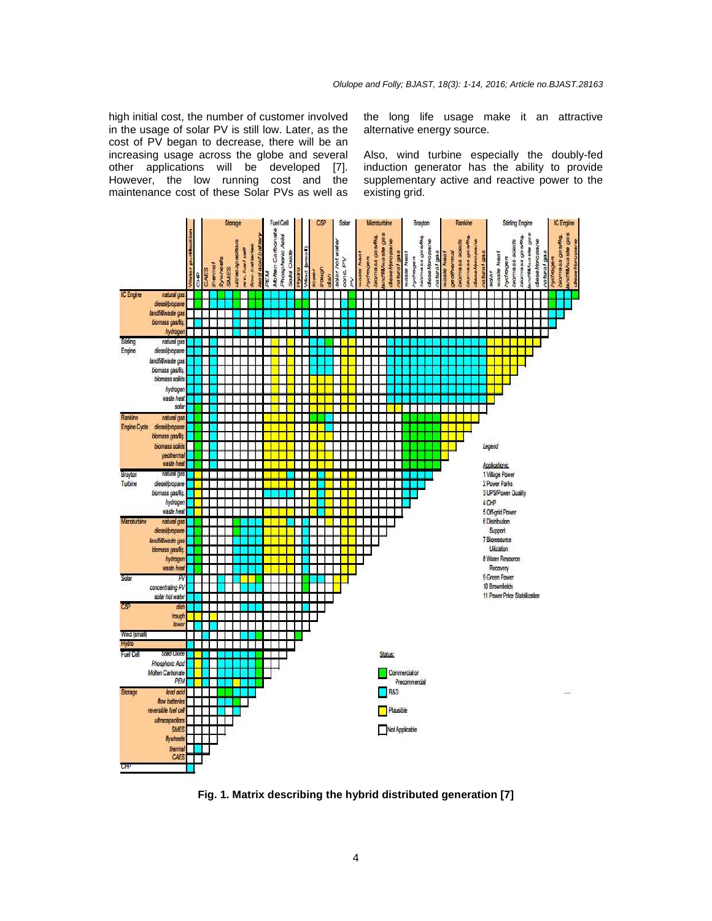high initial cost, the number of customer involved in the usage of solar PV is still low. Later, as the cost of PV began to decrease, there will be an increasing usage across the globe and several other applications will be developed [7]. However, the low running cost and the maintenance cost of these Solar PVs as well as

the long life usage make it an attractive alternative energy source.

Also, wind turbine especially the doubly-fed induction generator has the ability to provide supplementary active and reactive power to the existing grid.



**Fig. 1. Matrix describing the hybrid distributed generation [7]**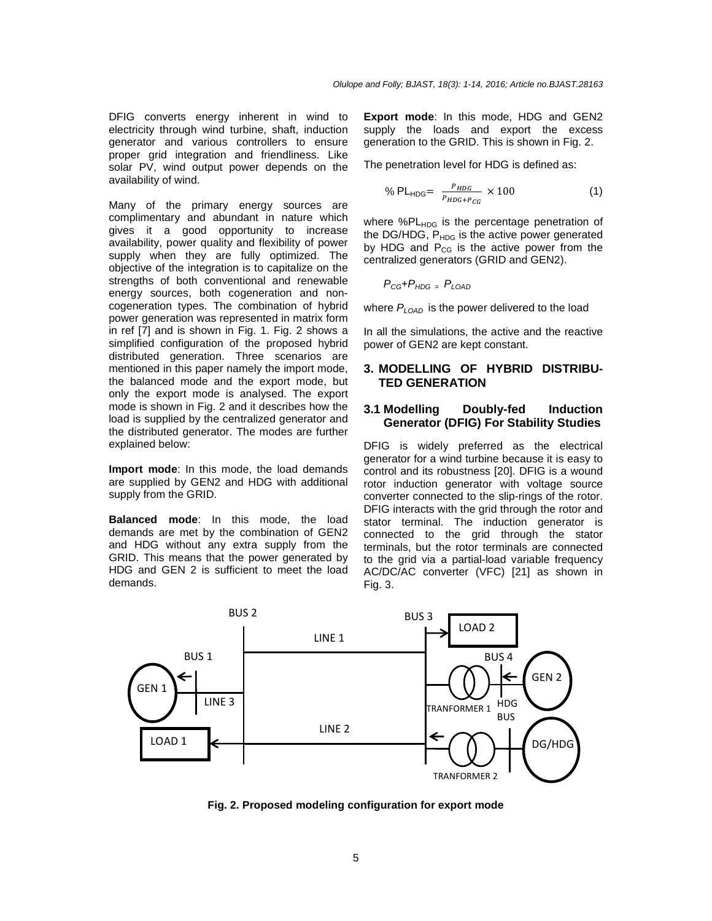DFIG converts energy inherent in wind to electricity through wind turbine, shaft, induction generator and various controllers to ensure proper grid integration and friendliness. Like solar PV, wind output power depends on the availability of wind.

Many of the primary energy sources are complimentary and abundant in nature which gives it a good opportunity to increase availability, power quality and flexibility of power supply when they are fully optimized. The objective of the integration is to capitalize on the strengths of both conventional and renewable energy sources, both cogeneration and noncogeneration types. The combination of hybrid power generation was represented in matrix form in ref [7] and is shown in Fig. 1. Fig. 2 shows a simplified configuration of the proposed hybrid distributed generation. Three scenarios are mentioned in this paper namely the import mode, the balanced mode and the export mode, but only the export mode is analysed. The export mode is shown in Fig. 2 and it describes how the load is supplied by the centralized generator and the distributed generator. The modes are further explained below:

**Import mode**: In this mode, the load demands are supplied by GEN2 and HDG with additional supply from the GRID.

**Balanced mode**: In this mode, the load demands are met by the combination of GEN2 and HDG without any extra supply from the GRID. This means that the power generated by HDG and GEN 2 is sufficient to meet the load demands.

**Export mode**: In this mode, HDG and GEN2 supply the loads and export the excess generation to the GRID. This is shown in Fig. 2.

The penetration level for HDG is defined as:

$$
\% \text{ PL}_{\text{HDG}} = \frac{P_{\text{HDG}}}{P_{\text{HDG} + P_{\text{CG}}}} \times 100 \tag{1}
$$

where %PL<sub>HDG</sub> is the percentage penetration of the DG/HDG,  $P_{HDG}$  is the active power generated by HDG and  $P_{CG}$  is the active power from the centralized generators (GRID and GEN2).

$$
P_{CG} + P_{HDG} = P_{LOAD}
$$

where  $P_{\text{LOAD}}$  is the power delivered to the load

In all the simulations, the active and the reactive power of GEN2 are kept constant.

#### **3. MODELLING OF HYBRID DISTRIBU-TED GENERATION**

#### **3.1 Modelling Doubly-fed Induction Generator (DFIG) For Stability Studies**

DFIG is widely preferred as the electrical generator for a wind turbine because it is easy to control and its robustness [20]. DFIG is a wound rotor induction generator with voltage source converter connected to the slip-rings of the rotor. DFIG interacts with the grid through the rotor and stator terminal. The induction generator is connected to the grid through the stator terminals, but the rotor terminals are connected to the grid via a partial-load variable frequency AC/DC/AC converter (VFC) [21] as shown in Fig. 3.



**Fig. 2. Proposed modeling configuration for export mode**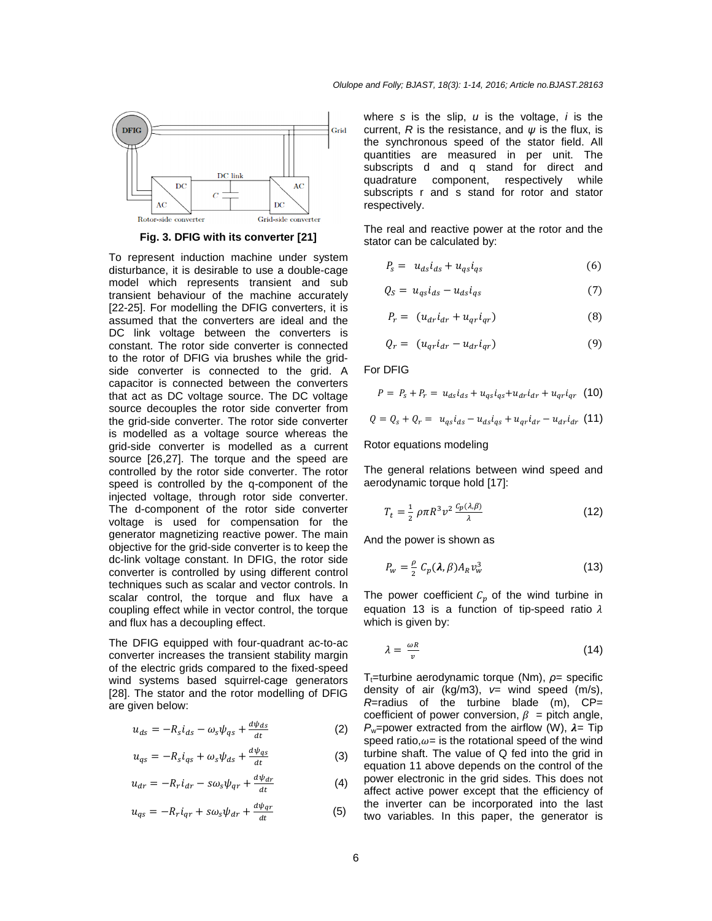

**Fig. 3. DFIG with its converter [21]**

To represent induction machine under system To represent induction machine under system<br>disturbance, it is desirable to use a double-cage model which represents transient and sub transient behaviour of the machine accurately [22-25]. For modelling the DFIG converters, it is assumed that the converters are ideal and the DC link voltage between the converters is constant. The rotor side converter is connected to the rotor of DFIG via brushes while the grid side converter is connected to the grid. A capacitor is connected between the converters that act as DC voltage source. The DC voltage source decouples the rotor side converter from the grid-side converter. The rotor side converter is modelled as a voltage source whereas the grid-side converter is modelled as a current source [26,27]. The torque and the speed are controlled by the rotor side converter. The rotor speed is controlled by the q-component of the injected voltage, through rotor side converter. The d-component of the rotor side converter voltage is used for compensation for the generator magnetizing reactive power. The main objective for the grid-side converter is to keep the dc-link voltage constant. In DFIG, the rotor side converter is controlled by using different control techniques such as scalar and vector controls. In scalar control, the torque and flux have a coupling effect while in vector control, the torque and flux has a decoupling effect. sient behaviour of the machine accurately<br>25]. For modelling the DFIG converters, it is<br>umed that the converters are ideal and the<br>link voltage between the converters is<br>stant. The rotor side converter is connected<br>ne roto action is connected between the converters<br>act as DC voltage source. The DC voltage<br>ce decouples the rotor side converter from<br>grid-side converter. The rotor side converter<br>lodelled as a voltage source whereas the<br>side con speed is controlled by the q-component of the injected voltage, through rotor side converter.<br>The d-component of the rotor side converter voltage is used for compensation for the generator magnetizing reactive power. The m

The DFIG equipped with four-quadrant ac-to-ac converter increases the transient stability margin converter increases the transient stability margin<br>of the electric grids compared to the fixed-speed wind systems based squirrel-cage generators [28]. The stator and the rotor modelling of DFIG are given below: wind systems based squirrel-cage generators<br>[28]. The stator and the rotor modelling of DFIG<br>are given below:<br> $u_{ds} = -R_s i_{ds} - \omega_s \psi_{as} + \frac{d\psi_{ds}}{dt}$  (2)

$$
u_{ds} = -R_s i_{ds} - \omega_s \psi_{qs} + \frac{d\psi_{ds}}{dt}
$$
 (2)

$$
u_{qs} = -R_s i_{qs} + \omega_s \psi_{ds} + \frac{d\psi_{qs}}{dt}
$$
 (3)

$$
u_{dr} = -R_r i_{dr} - s\omega_s \psi_{qr} + \frac{d\psi_{dr}}{dt}
$$
 (4)

$$
u_{qs} = -R_r i_{qr} + s\omega_s \psi_{dr} + \frac{d\psi_{qr}}{dt} \tag{5}
$$

where  $s$  is the slip,  $u$  is the voltage,  $i$  is the current, R is the resistance, and  $\psi$  is the flux, is the synchronous speed of the stator field. All quantities are measured in per unit. The subscripts d and q stand for direct and quadrature component, respe subscripts r and s stand for rotor and stator respectively. subscripts r and s stand for rotor and stator<br>respectively.<br>The real and reactive power at the rotor and the are measured in per unit. The<br>d and q stand for direct and<br>component, respectively while

stator can be calculated by:

$$
P_s = u_{ds} i_{ds} + u_{qs} i_{qs} \tag{6}
$$

$$
Q_S = u_{qs} i_{ds} - u_{ds} i_{qs} \tag{7}
$$

$$
P_r = (u_{dr}i_{dr} + u_{qr}i_{qr})
$$
\n(8)

$$
Q_r = (u_{qr}i_{dr} - u_{dr}i_{qr})
$$
\n(9)

For DFIG

$$
P = P_s + P_r = u_{ds}i_{ds} + u_{qs}i_{qs} + u_{dr}i_{dr} + u_{qr}i_{qr}
$$
 (10)

$$
Q = Q_s + Q_r = u_{qs}i_{ds} - u_{ds}i_{qs} + u_{qr}i_{dr} - u_{dr}i_{dr}
$$
 (11)

Rotor equations modeling

The general relations between wind speed and<br>aerodynamic torque hold [17]:<br> $T_t = \frac{1}{2} \rho \pi R^3 v^2 \frac{c_p(\lambda, \beta)}{2}$  (12) aerodynamic torque hold [17]:

$$
T_t = \frac{1}{2} \rho \pi R^3 v^2 \frac{c_p(\lambda, \beta)}{\lambda} \tag{12}
$$

And the power is shown as

$$
P_w = \frac{\rho}{2} C_p(\lambda, \beta) A_R v_w^3 \tag{13}
$$

The power coefficient  $C_p$  of the wind turbine in equation 13 is a function of tip-speed ratio  $\lambda$ equation 13 is a function of tip-speed ratio  $\lambda$ which is given by:

$$
\lambda = \frac{\omega R}{v} \tag{14}
$$

T<sub>t</sub>=turbine aerodynamic torque (Nm), *ρ*= specific density of air (kg/m3),  $v=$  wind speed (m/s),  $R$ =radius of the turbine blade (m),  $CP$ = *R*=radius of the turbine blade (m), CP= coefficient of power conversion,  $\beta$  = pitch angle,  $P_w$ =power extracted from the airflow (W),  $\lambda$ = Tip speed ratio, $\omega$ = is the rotational speed of the wind turbine shaft. The value of Q fed into the grid in equation 11 above depends on the control of the power electronic in the grid sides. This does not affect active power except that the efficiency of the inverter can be incorporated into the last two variables. In this paper, the generator is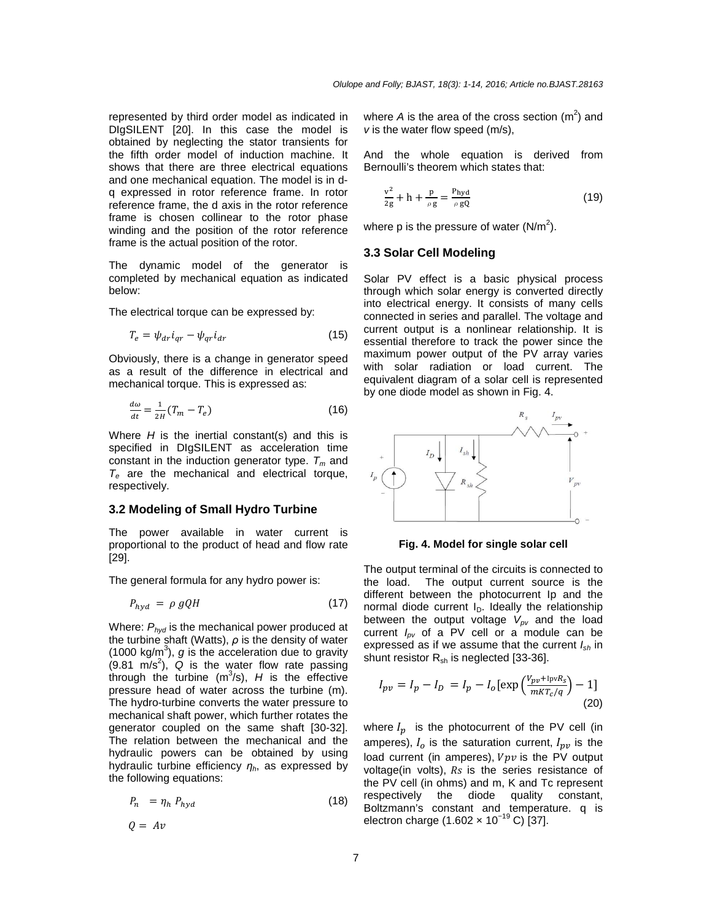represented by third order model as indicated in DIgSILENT [20]. In this case the model is obtained by neglecting the stator transients for the fifth order model of induction machine. It shows that there are three electrical equations and one mechanical equation. The model is in dq expressed in rotor reference frame. In rotor reference frame, the d axis in the rotor reference frame is chosen collinear to the rotor phase winding and the position of the rotor reference frame is the actual position of the rotor.

The dynamic model of the generator is completed by mechanical equation as indicated below:

The electrical torque can be expressed by:

$$
T_e = \psi_{dr} i_{qr} - \psi_{qr} i_{dr} \tag{15}
$$

Obviously, there is a change in generator speed as a result of the difference in electrical and mechanical torque. This is expressed as:

$$
\frac{d\omega}{dt} = \frac{1}{2H}(T_m - T_e) \tag{16}
$$

Where  $H$  is the inertial constant(s) and this is specified in DIgSILENT as acceleration time constant in the induction generator type.  $T_m$  and  $T_e$  are the mechanical and electrical torque, respectively.

#### **3.2 Modeling of Small Hydro Turbine**

The power available in water current is proportional to the product of head and flow rate [29].

The general formula for any hydro power is:

$$
P_{hyd} = \rho \, gQH \tag{17}
$$

Where:  $P_{\text{hyd}}$  is the mechanical power produced at the turbine shaft (Watts), *ρ* is the density of water (1000 kg/m<sup>3</sup>), g is the acceleration due to gravity  $(9.81 \text{ m/s}^2)$ ,  $\alpha$  is the water flow rate passing through the turbine  $(m^3/s)$ , H is the effective pressure head of water across the turbine (m). The hydro-turbine converts the water pressure to mechanical shaft power, which further rotates the generator coupled on the same shaft [30-32]. The relation between the mechanical and the hydraulic powers can be obtained by using hydraulic turbine efficiency  $η<sub>h</sub>$ , as expressed by the following equations:

$$
P_n = \eta_h \, P_{hyd} \tag{18}
$$

$$
Q = Av
$$

where A is the area of the cross section  $(m^2)$  and v is the water flow speed (m/s),

And the whole equation is derived from Bernoulli's theorem which states that:

$$
\frac{v^2}{2g} + h + \frac{p}{\rho g} = \frac{P_{\text{hyd}}}{\rho g Q} \tag{19}
$$

where p is the pressure of water (N/m<sup>2</sup>).

# **3.3 Solar Cell Modeling**

Solar PV effect is a basic physical process through which solar energy is converted directly into electrical energy. It consists of many cells connected in series and parallel. The voltage and current output is a nonlinear relationship. It is essential therefore to track the power since the maximum power output of the PV array varies with solar radiation or load current. The equivalent diagram of a solar cell is represented by one diode model as shown in Fig. 4.



**Fig. 4. Model for single solar cell** 

The output terminal of the circuits is connected to the load. The output current source is the different between the photocurrent Ip and the normal diode current  $I_D$ . Ideally the relationship between the output voltage  $V_{pv}$  and the load current  $I_{\text{pv}}$  of a PV cell or a module can be expressed as if we assume that the current  $I_{sh}$  in shunt resistor  $R_{sh}$  is neglected [33-36].

$$
I_{pv} = I_p - I_D = I_p - I_o \left[ \exp\left(\frac{V_{pv} + \text{lpv}R_S}{mKT_c/q}\right) - 1 \right]
$$
\n(20)

where  $I_p$  is the photocurrent of the PV cell (in amperes),  $I_o$  is the saturation current,  $I_{pv}$  is the load current (in amperes),  $Vpv$  is the PV output voltage(in volts),  $Rs$  is the series resistance of the PV cell (in ohms) and m, K and Tc represent respectively the diode quality constant, Boltzmann's constant and temperature. q is electron charge (1.602 × 10−19 C) [37].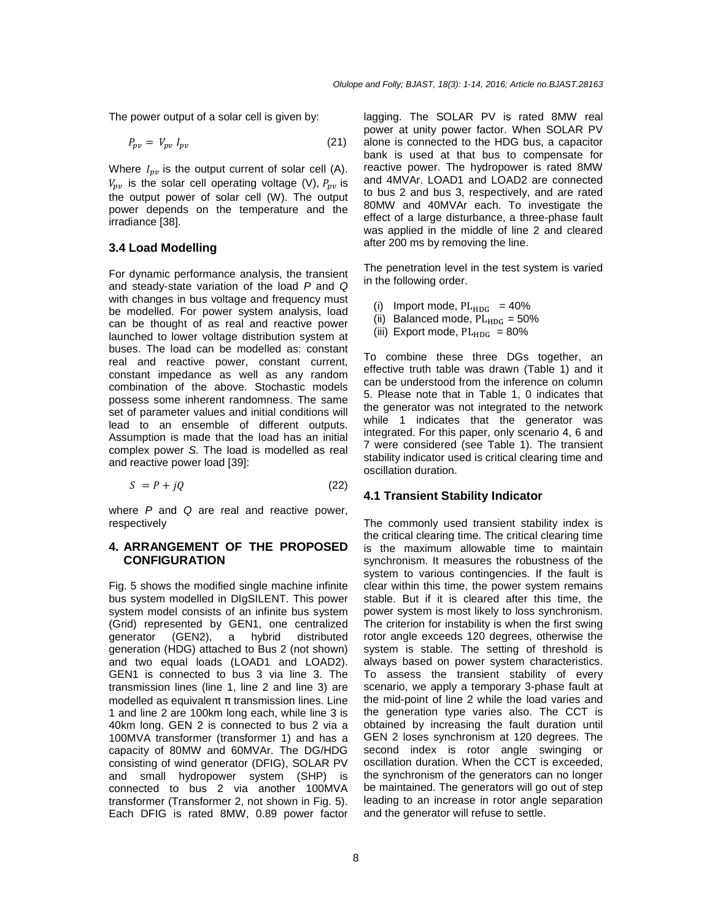The power output of a solar cell is given by:

$$
P_{pv} = V_{pv} I_{pv} \tag{21}
$$

Where  $I_{pv}$  is the output current of solar cell (A).  $V_{pv}$  is the solar cell operating voltage (V),  $P_{pv}$  is the output power of solar cell (W). The output power depends on the temperature and the irradiance [38].

#### **3.4 Load Modelling**

For dynamic performance analysis, the transient and steady-state variation of the load P and Q with changes in bus voltage and frequency must be modelled. For power system analysis, load can be thought of as real and reactive power launched to lower voltage distribution system at buses. The load can be modelled as: constant real and reactive power, constant current, constant impedance as well as any random combination of the above. Stochastic models possess some inherent randomness. The same set of parameter values and initial conditions will lead to an ensemble of different outputs. Assumption is made that the load has an initial complex power S. The load is modelled as real and reactive power load [39]:

$$
S = P + jQ \tag{22}
$$

where  $P$  and  $Q$  are real and reactive power, respectively

#### **4. ARRANGEMENT OF THE PROPOSED CONFIGURATION**

Fig. 5 shows the modified single machine infinite bus system modelled in DIgSILENT. This power system model consists of an infinite bus system (Grid) represented by GEN1, one centralized generator (GEN2), a hybrid distributed generation (HDG) attached to Bus 2 (not shown) and two equal loads (LOAD1 and LOAD2). GEN1 is connected to bus 3 via line 3. The transmission lines (line 1, line 2 and line 3) are modelled as equivalent  $\pi$  transmission lines. Line 1 and line 2 are 100km long each, while line 3 is 40km long. GEN 2 is connected to bus 2 via a 100MVA transformer (transformer 1) and has a capacity of 80MW and 60MVAr. The DG/HDG consisting of wind generator (DFIG), SOLAR PV and small hydropower system (SHP) is connected to bus 2 via another 100MVA transformer (Transformer 2, not shown in Fig. 5). Each DFIG is rated 8MW, 0.89 power factor lagging. The SOLAR PV is rated 8MW real power at unity power factor. When SOLAR PV alone is connected to the HDG bus, a capacitor bank is used at that bus to compensate for reactive power. The hydropower is rated 8MW and 4MVAr. LOAD1 and LOAD2 are connected to bus 2 and bus 3, respectively, and are rated 80MW and 40MVAr each. To investigate the effect of a large disturbance, a three-phase fault was applied in the middle of line 2 and cleared after 200 ms by removing the line.

The penetration level in the test system is varied in the following order.

- (i) Import mode,  $PL_{HDG} = 40\%$
- (ii) Balanced mode,  $PL_{HDC} = 50\%$
- (iii) Export mode,  $PL_{HDC} = 80\%$

To combine these three DGs together, an effective truth table was drawn (Table 1) and it can be understood from the inference on column 5. Please note that in Table 1, 0 indicates that the generator was not integrated to the network while 1 indicates that the generator was integrated. For this paper, only scenario 4, 6 and 7 were considered (see Table 1). The transient stability indicator used is critical clearing time and oscillation duration.

#### **4.1 Transient Stability Indicator**

The commonly used transient stability index is the critical clearing time. The critical clearing time is the maximum allowable time to maintain synchronism. It measures the robustness of the system to various contingencies. If the fault is clear within this time, the power system remains stable. But if it is cleared after this time, the power system is most likely to loss synchronism. The criterion for instability is when the first swing rotor angle exceeds 120 degrees, otherwise the system is stable. The setting of threshold is always based on power system characteristics. To assess the transient stability of every scenario, we apply a temporary 3-phase fault at the mid-point of line 2 while the load varies and the generation type varies also. The CCT is obtained by increasing the fault duration until GEN 2 loses synchronism at 120 degrees. The second index is rotor angle swinging or oscillation duration. When the CCT is exceeded, the synchronism of the generators can no longer be maintained. The generators will go out of step leading to an increase in rotor angle separation and the generator will refuse to settle.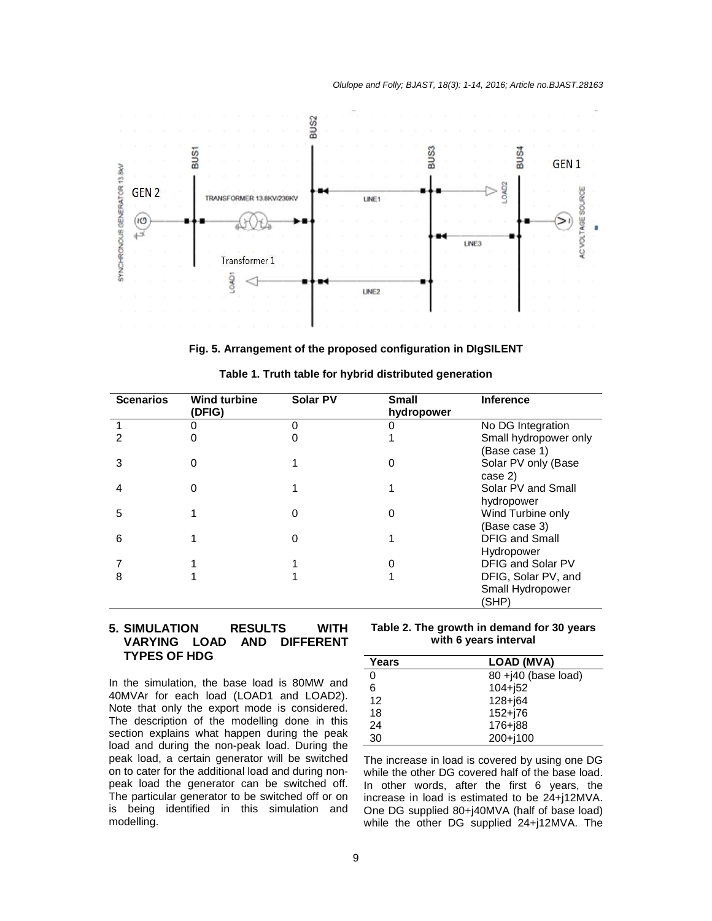

**Fig. 5. Arrangement of the proposed configuration in DIgSILENT** 

| <b>Scenarios</b> | <b>Wind turbine</b><br>(DFIG) | <b>Solar PV</b> | <b>Small</b><br>hydropower | <b>Inference</b>                                 |
|------------------|-------------------------------|-----------------|----------------------------|--------------------------------------------------|
|                  |                               |                 |                            | No DG Integration                                |
|                  |                               |                 |                            | Small hydropower only<br>(Base case 1)           |
| 3                | 0                             |                 | 0                          | Solar PV only (Base<br>case 2)                   |
|                  | 0                             |                 |                            | Solar PV and Small<br>hydropower                 |
| 5                |                               | Ω               | 0                          | Wind Turbine only<br>(Base case 3)               |
| 6                |                               | 0               |                            | <b>DFIG and Small</b><br>Hydropower              |
|                  |                               |                 |                            | DFIG and Solar PV                                |
| 8                |                               |                 |                            | DFIG, Solar PV, and<br>Small Hydropower<br>(SHP) |

**Table 1. Truth table for hybrid distributed generation** 

# **5. SIMULATION RESULTS WITH VARYING LOAD AND DIFFERENT TYPES OF HDG**

In the simulation, the base load is 80MW and 40MVAr for each load (LOAD1 and LOAD2). Note that only the export mode is considered. The description of the modelling done in this section explains what happen during the peak load and during the non-peak load. During the peak load, a certain generator will be switched on to cater for the additional load and during nonpeak load the generator can be switched off. The particular generator to be switched off or on is being identified in this simulation and modelling.

**Table 2. The growth in demand for 30 years with 6 years interval** 

| Years | LOAD (MVA)            |
|-------|-----------------------|
| 0     | $80 + 40$ (base load) |
| 6     | $104 + 152$           |
| 12    | $128 + 64$            |
| 18    | $152 + 76$            |
| 24    | $176 + 88$            |
| 30    | 200+j100              |

The increase in load is covered by using one DG while the other DG covered half of the base load. In other words, after the first 6 years, the increase in load is estimated to be 24+j12MVA. One DG supplied 80+j40MVA (half of base load) while the other DG supplied 24+j12MVA. The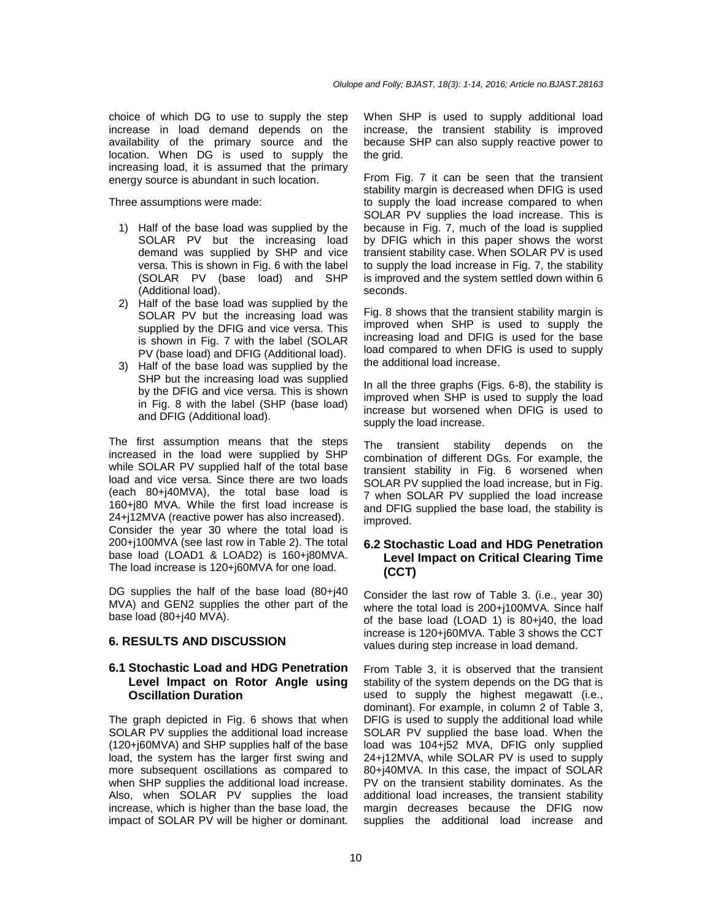choice of which DG to use to supply the step increase in load demand depends on the availability of the primary source and the location. When DG is used to supply the increasing load, it is assumed that the primary energy source is abundant in such location.

Three assumptions were made:

- 1) Half of the base load was supplied by the SOLAR PV but the increasing load demand was supplied by SHP and vice versa. This is shown in Fig. 6 with the label (SOLAR PV (base load) and SHP (Additional load).
- 2) Half of the base load was supplied by the SOLAR PV but the increasing load was supplied by the DFIG and vice versa. This is shown in Fig. 7 with the label (SOLAR PV (base load) and DFIG (Additional load).
- 3) Half of the base load was supplied by the SHP but the increasing load was supplied by the DFIG and vice versa. This is shown in Fig. 8 with the label (SHP (base load) and DFIG (Additional load).

The first assumption means that the steps increased in the load were supplied by SHP while SOLAR PV supplied half of the total base load and vice versa. Since there are two loads (each 80+j40MVA), the total base load is 160+j80 MVA. While the first load increase is 24+j12MVA (reactive power has also increased). Consider the year 30 where the total load is 200+j100MVA (see last row in Table 2). The total base load (LOAD1 & LOAD2) is 160+j80MVA. The load increase is 120+j60MVA for one load.

DG supplies the half of the base load (80+j40) MVA) and GEN2 supplies the other part of the base load (80+j40 MVA).

# **6. RESULTS AND DISCUSSION**

# **6.1 Stochastic Load and HDG Penetration Level Impact on Rotor Angle using Oscillation Duration**

The graph depicted in Fig. 6 shows that when SOLAR PV supplies the additional load increase (120+j60MVA) and SHP supplies half of the base load, the system has the larger first swing and more subsequent oscillations as compared to when SHP supplies the additional load increase. Also, when SOLAR PV supplies the load increase, which is higher than the base load, the impact of SOLAR PV will be higher or dominant.

When SHP is used to supply additional load increase, the transient stability is improved because SHP can also supply reactive power to the grid.

From Fig. 7 it can be seen that the transient stability margin is decreased when DFIG is used to supply the load increase compared to when SOLAR PV supplies the load increase. This is because in Fig. 7, much of the load is supplied by DFIG which in this paper shows the worst transient stability case. When SOLAR PV is used to supply the load increase in Fig. 7, the stability is improved and the system settled down within 6 seconds.

Fig. 8 shows that the transient stability margin is improved when SHP is used to supply the increasing load and DFIG is used for the base load compared to when DFIG is used to supply the additional load increase.

In all the three graphs (Figs. 6-8), the stability is improved when SHP is used to supply the load increase but worsened when DFIG is used to supply the load increase.

The transient stability depends on the combination of different DGs. For example, the transient stability in Fig. 6 worsened when SOLAR PV supplied the load increase, but in Fig. 7 when SOLAR PV supplied the load increase and DFIG supplied the base load, the stability is improved.

# **6.2 Stochastic Load and HDG Penetration Level Impact on Critical Clearing Time (CCT)**

Consider the last row of Table 3. (i.e., year 30) where the total load is 200+j100MVA. Since half of the base load (LOAD 1) is 80+j40, the load increase is 120+j60MVA. Table 3 shows the CCT values during step increase in load demand.

From Table 3, it is observed that the transient stability of the system depends on the DG that is used to supply the highest megawatt (i.e., dominant). For example, in column 2 of Table 3, DFIG is used to supply the additional load while SOLAR PV supplied the base load. When the load was 104+j52 MVA, DFIG only supplied 24+j12MVA, while SOLAR PV is used to supply 80+j40MVA. In this case, the impact of SOLAR PV on the transient stability dominates. As the additional load increases, the transient stability margin decreases because the DFIG now supplies the additional load increase and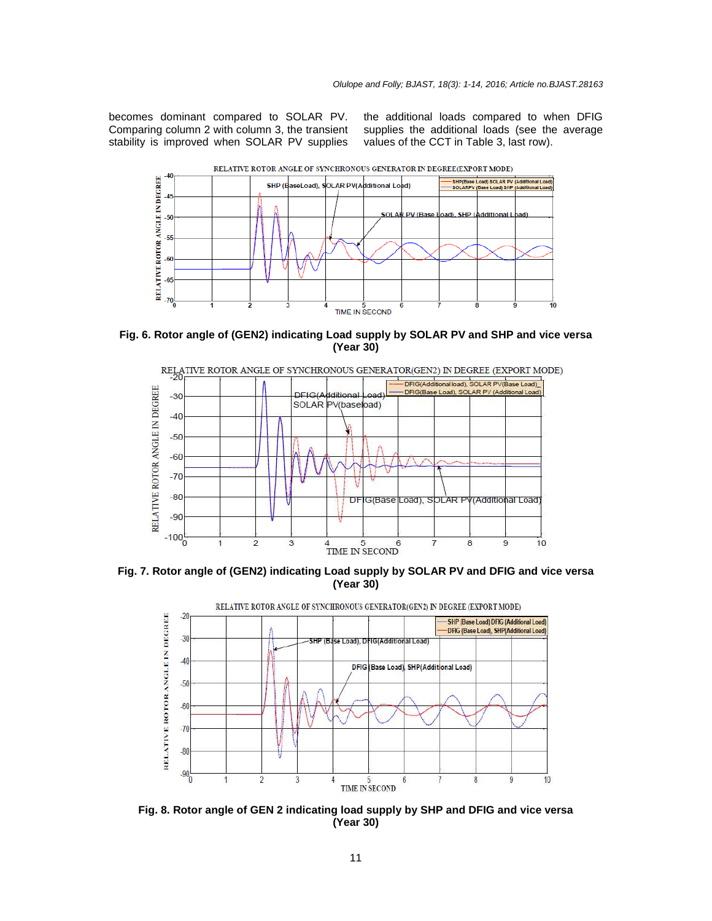becomes dominant compared to SOLAR PV. Comparing column 2 with column 3, the transient stability is improved when SOLAR PV supplies the additional loads compared to when DFIG supplies the additional loads (see the average values of the CCT in Table 3, last row).



**Fig. 6. Rotor angle of (GEN2) indicating Load supply by SOLAR PV and SHP and vice versa (Year 30)** 



**Fig. 7. Rotor angle of (GEN2) indicating Load supply by SOLAR PV and DFIG and vice versa (Year 30)** 



**Fig. 8. Rotor angle of GEN 2 indicating load supply by SHP and DFIG and vice versa (Year 30)**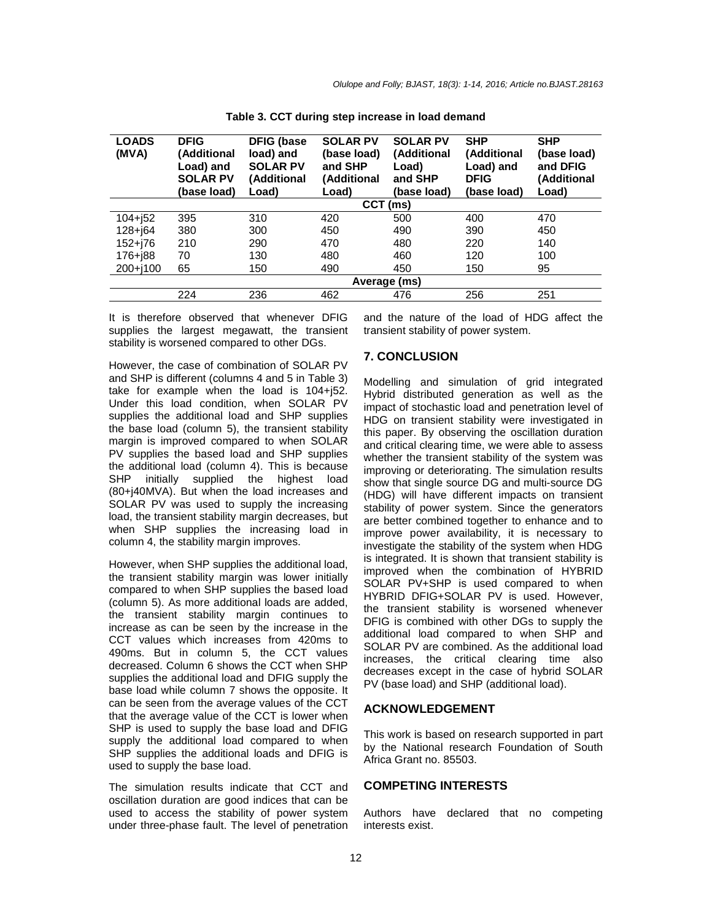| <b>LOADS</b><br>(MVA) | <b>DFIG</b><br>(Additional<br>Load) and<br><b>SOLAR PV</b><br>(base load) | <b>DFIG (base</b><br>load) and<br><b>SOLAR PV</b><br>(Additional<br>Load) | <b>SOLAR PV</b><br>(base load)<br>and SHP<br>(Additional<br>Load) | <b>SOLAR PV</b><br><i>(Additional</i><br>Load)<br>and SHP<br>(base load) | <b>SHP</b><br>(Additional<br>Load) and<br><b>DFIG</b><br>(base load) | <b>SHP</b><br>(base load)<br>and DFIG<br>(Additional<br>Load) |  |  |  |  |
|-----------------------|---------------------------------------------------------------------------|---------------------------------------------------------------------------|-------------------------------------------------------------------|--------------------------------------------------------------------------|----------------------------------------------------------------------|---------------------------------------------------------------|--|--|--|--|
|                       | <b>CCT</b><br>(ms)                                                        |                                                                           |                                                                   |                                                                          |                                                                      |                                                               |  |  |  |  |
| $104 + 52$            | 395                                                                       | 310                                                                       | 420                                                               | 500                                                                      | 400                                                                  | 470                                                           |  |  |  |  |
| $128 + 64$            | 380                                                                       | 300                                                                       | 450                                                               | 490                                                                      | 390                                                                  | 450                                                           |  |  |  |  |
| $152 + 76$            | 210                                                                       | 290                                                                       | 470                                                               | 480                                                                      | 220                                                                  | 140                                                           |  |  |  |  |
| $176 + 188$           | 70                                                                        | 130                                                                       | 480                                                               | 460                                                                      | 120                                                                  | 100                                                           |  |  |  |  |
| $200 + 100$           | 65                                                                        | 150                                                                       | 490                                                               | 450                                                                      | 150                                                                  | 95                                                            |  |  |  |  |
|                       | Average (ms)                                                              |                                                                           |                                                                   |                                                                          |                                                                      |                                                               |  |  |  |  |
|                       | 224                                                                       | 236                                                                       | 462                                                               | 476                                                                      | 256                                                                  | 251                                                           |  |  |  |  |

**Table 3. CCT during step increase in load demand**

It is therefore observed that whenever DFIG supplies the largest megawatt, the transient stability is worsened compared to other DGs.

However, the case of combination of SOLAR PV and SHP is different (columns 4 and 5 in Table 3) take for example when the load is 104+j52. Under this load condition, when SOLAR PV supplies the additional load and SHP supplies the base load (column 5), the transient stability margin is improved compared to when SOLAR PV supplies the based load and SHP supplies the additional load (column 4). This is because SHP initially supplied the highest load (80+j40MVA). But when the load increases and SOLAR PV was used to supply the increasing load, the transient stability margin decreases, but when SHP supplies the increasing load in column 4, the stability margin improves.

However, when SHP supplies the additional load, the transient stability margin was lower initially compared to when SHP supplies the based load (column 5). As more additional loads are added, the transient stability margin continues to increase as can be seen by the increase in the CCT values which increases from 420ms to 490ms. But in column 5, the CCT values decreased. Column 6 shows the CCT when SHP supplies the additional load and DFIG supply the base load while column 7 shows the opposite. It can be seen from the average values of the CCT that the average value of the CCT is lower when SHP is used to supply the base load and DFIG supply the additional load compared to when SHP supplies the additional loads and DFIG is used to supply the base load.

The simulation results indicate that CCT and oscillation duration are good indices that can be used to access the stability of power system under three-phase fault. The level of penetration and the nature of the load of HDG affect the transient stability of power system.

#### **7. CONCLUSION**

Modelling and simulation of grid integrated Hybrid distributed generation as well as the impact of stochastic load and penetration level of HDG on transient stability were investigated in this paper. By observing the oscillation duration and critical clearing time, we were able to assess whether the transient stability of the system was improving or deteriorating. The simulation results show that single source DG and multi-source DG (HDG) will have different impacts on transient stability of power system. Since the generators are better combined together to enhance and to improve power availability, it is necessary to investigate the stability of the system when HDG is integrated. It is shown that transient stability is improved when the combination of HYBRID SOLAR PV+SHP is used compared to when HYBRID DFIG+SOLAR PV is used. However, the transient stability is worsened whenever DFIG is combined with other DGs to supply the additional load compared to when SHP and SOLAR PV are combined. As the additional load increases, the critical clearing time also decreases except in the case of hybrid SOLAR PV (base load) and SHP (additional load).

#### **ACKNOWLEDGEMENT**

This work is based on research supported in part by the National research Foundation of South Africa Grant no. 85503.

### **COMPETING INTERESTS**

Authors have declared that no competing interests exist.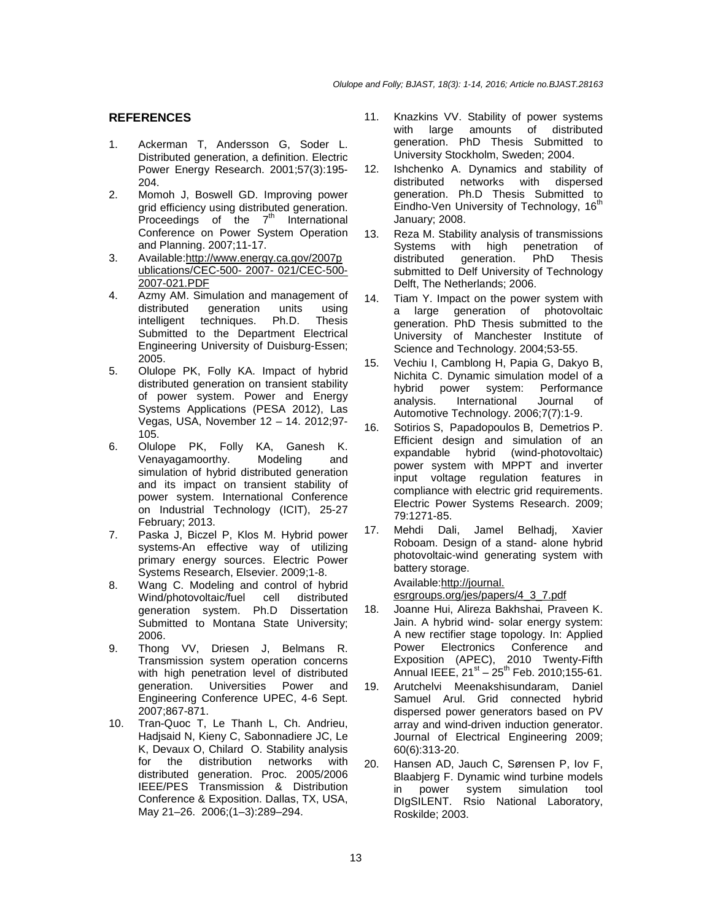# **REFERENCES**

- 1. Ackerman T, Andersson G, Soder L. Distributed generation, a definition. Electric Power Energy Research. 2001;57(3):195- 204.
- 2. Momoh J, Boswell GD. Improving power grid efficiency using distributed generation. Proceedings of the  $7<sup>th</sup>$  International Conference on Power System Operation and Planning. 2007;11-17.
- 3. Available:http://www.energy.ca.gov/2007p ublications/CEC-500- 2007- 021/CEC-500- 2007-021.PDF
- 4. Azmy AM. Simulation and management of distributed generation units using<br>intelligent techniques. Ph.D. Thesis intelligent techniques. Ph.D. Thesis Submitted to the Department Electrical Engineering University of Duisburg-Essen; 2005.
- 5. Olulope PK, Folly KA. Impact of hybrid distributed generation on transient stability of power system. Power and Energy Systems Applications (PESA 2012), Las Vegas, USA, November 12 – 14. 2012;97- 105.
- 6. Olulope PK, Folly KA, Ganesh K. Venayagamoorthy. Modeling and simulation of hybrid distributed generation and its impact on transient stability of power system. International Conference on Industrial Technology (ICIT), 25-27 February; 2013.
- 7. Paska J, Biczel P, Klos M. Hybrid power systems-An effective way of utilizing primary energy sources. Electric Power Systems Research, Elsevier. 2009;1-8.
- 8. Wang C. Modeling and control of hybrid Wind/photovoltaic/fuel cell distributed generation system. Ph.D Dissertation Submitted to Montana State University; 2006.
- 9. Thong VV, Driesen J, Belmans R. Transmission system operation concerns with high penetration level of distributed generation. Universities Power and Engineering Conference UPEC, 4-6 Sept. 2007;867-871.
- 10. Tran-Quoc T, Le Thanh L, Ch. Andrieu, Hadjsaid N, Kieny C, Sabonnadiere JC, Le K, Devaux O, Chilard O. Stability analysis for the distribution networks with distributed generation. Proc. 2005/2006 IEEE/PES Transmission & Distribution Conference & Exposition. Dallas, TX, USA, May 21–26. 2006;(1–3):289–294.
- 11. Knazkins VV. Stability of power systems<br>with large amounts of distributed with large amounts generation. PhD Thesis Submitted to University Stockholm, Sweden; 2004.
- 12. Ishchenko A. Dynamics and stability of distributed networks with dispersed generation. Ph.D Thesis Submitted to  $\overline{\text{E}}$ indho-Ven University of Technology, 16<sup>th</sup> January; 2008.
- 13. Reza M. Stability analysis of transmissions Systems with high penetration of<br>distributed generation. PhD Thesis distributed generation. PhD Thesis submitted to Delf University of Technology Delft, The Netherlands; 2006.
- 14. Tiam Y. Impact on the power system with a large generation of photovoltaic generation. PhD Thesis submitted to the University of Manchester Institute of Science and Technology. 2004;53-55.
- 15. Vechiu I, Camblong H, Papia G, Dakyo B, Nichita C. Dynamic simulation model of a hybrid power system: Performance analysis. International Journal of Automotive Technology. 2006;7(7):1-9.
- 16. Sotirios S, Papadopoulos B, Demetrios P. Efficient design and simulation of an expandable hybrid (wind-photovoltaic) power system with MPPT and inverter input voltage regulation features in compliance with electric grid requirements. Electric Power Systems Research. 2009; 79:1271-85.
- 17. Mehdi Dali, Jamel Belhadj, Xavier Roboam. Design of a stand- alone hybrid photovoltaic-wind generating system with battery storage.

# Available:http://journal.

esrgroups.org/jes/papers/4\_3\_7.pdf

- 18. Joanne Hui, Alireza Bakhshai, Praveen K. Jain. A hybrid wind- solar energy system: A new rectifier stage topology. In: Applied Power Electronics Conference and Exposition (APEC), 2010 Twenty-Fifth Annual IEEE,  $21^{st} - 25^{th}$  Feb. 2010;155-61.
- 19. Arutchelvi Meenakshisundaram, Daniel Samuel Arul. Grid connected hybrid dispersed power generators based on PV array and wind-driven induction generator. Journal of Electrical Engineering 2009; 60(6):313-20.
- 20. Hansen AD, Jauch C, Sørensen P, Iov F, Blaabjerg F. Dynamic wind turbine models in power system simulation tool DIgSILENT. Rsio National Laboratory, Roskilde; 2003.